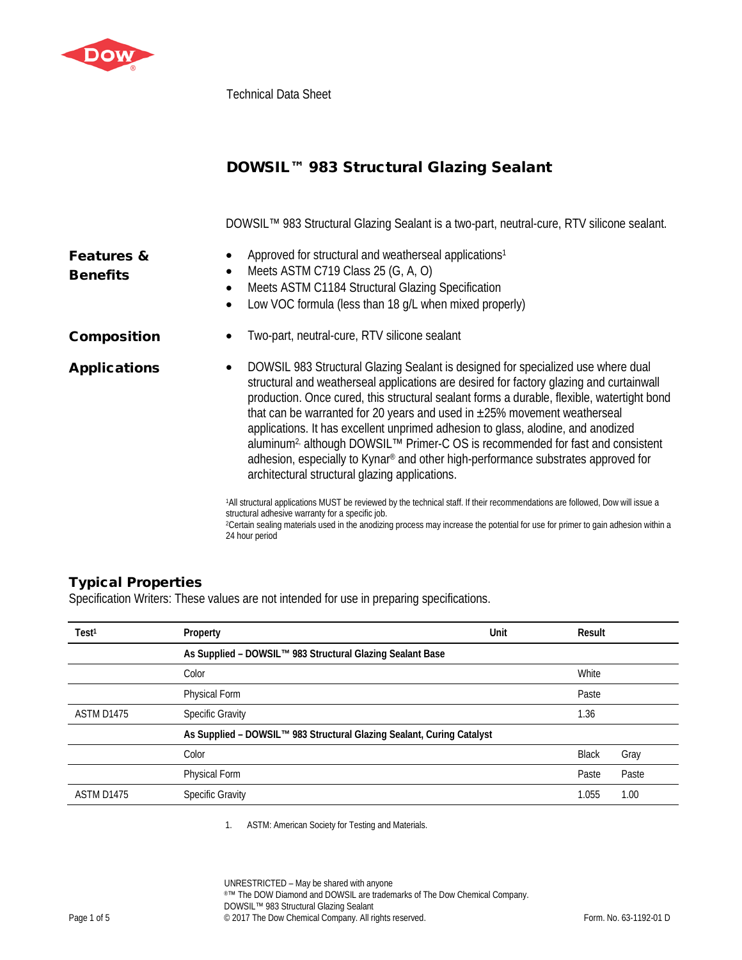

Technical Data Sheet

|                                          | DOWSIL™ 983 Structural Glazing Sealant                                                                                                                                                                                                                                                                                                                                                                                                                                                                                                                                                                                                                                                                        |  |
|------------------------------------------|---------------------------------------------------------------------------------------------------------------------------------------------------------------------------------------------------------------------------------------------------------------------------------------------------------------------------------------------------------------------------------------------------------------------------------------------------------------------------------------------------------------------------------------------------------------------------------------------------------------------------------------------------------------------------------------------------------------|--|
|                                          | DOWSIL™ 983 Structural Glazing Sealant is a two-part, neutral-cure, RTV silicone sealant.                                                                                                                                                                                                                                                                                                                                                                                                                                                                                                                                                                                                                     |  |
| <b>Features &amp;</b><br><b>Benefits</b> | Approved for structural and weatherseal applications <sup>1</sup><br>Meets ASTM C719 Class 25 (G, A, O)<br>$\bullet$<br>Meets ASTM C1184 Structural Glazing Specification<br>$\bullet$<br>Low VOC formula (less than 18 g/L when mixed properly)<br>$\bullet$                                                                                                                                                                                                                                                                                                                                                                                                                                                 |  |
| <b>Composition</b>                       | Two-part, neutral-cure, RTV silicone sealant                                                                                                                                                                                                                                                                                                                                                                                                                                                                                                                                                                                                                                                                  |  |
| <b>Applications</b>                      | DOWSIL 983 Structural Glazing Sealant is designed for specialized use where dual<br>$\bullet$<br>structural and weatherseal applications are desired for factory glazing and curtainwall<br>production. Once cured, this structural sealant forms a durable, flexible, watertight bond<br>that can be warranted for 20 years and used in $\pm 25\%$ movement weatherseal<br>applications. It has excellent unprimed adhesion to glass, alodine, and anodized<br>aluminum <sup>2,</sup> although DOWSIL <sup>™</sup> Primer-C OS is recommended for fast and consistent<br>adhesion, especially to Kynar® and other high-performance substrates approved for<br>architectural structural glazing applications. |  |
|                                          | 1All structural applications MUST be reviewed by the technical staff. If their recommendations are followed, Dow will issue a<br>structural adhesive warranty for a specific job.<br><sup>2</sup> Certain sealing materials used in the anodizing process may increase the potential for use for primer to gain adhesion within a<br>24 hour period                                                                                                                                                                                                                                                                                                                                                           |  |

# Typical Properties

Specification Writers: These values are not intended for use in preparing specifications.

| Test <sup>1</sup> | Property                                                              | Unit | Result       |       |
|-------------------|-----------------------------------------------------------------------|------|--------------|-------|
|                   | As Supplied - DOWSIL™ 983 Structural Glazing Sealant Base             |      |              |       |
|                   | Color                                                                 |      | White        |       |
|                   | Physical Form                                                         |      | Paste        |       |
| ASTM D1475        | <b>Specific Gravity</b>                                               |      | 1.36         |       |
|                   | As Supplied - DOWSIL™ 983 Structural Glazing Sealant, Curing Catalyst |      |              |       |
|                   | Color                                                                 |      | <b>Black</b> | Gray  |
|                   | Physical Form                                                         |      | Paste        | Paste |
| ASTM D1475        | <b>Specific Gravity</b>                                               |      | 1.055        | 1.00  |
|                   |                                                                       |      |              |       |

1. ASTM: American Society for Testing and Materials.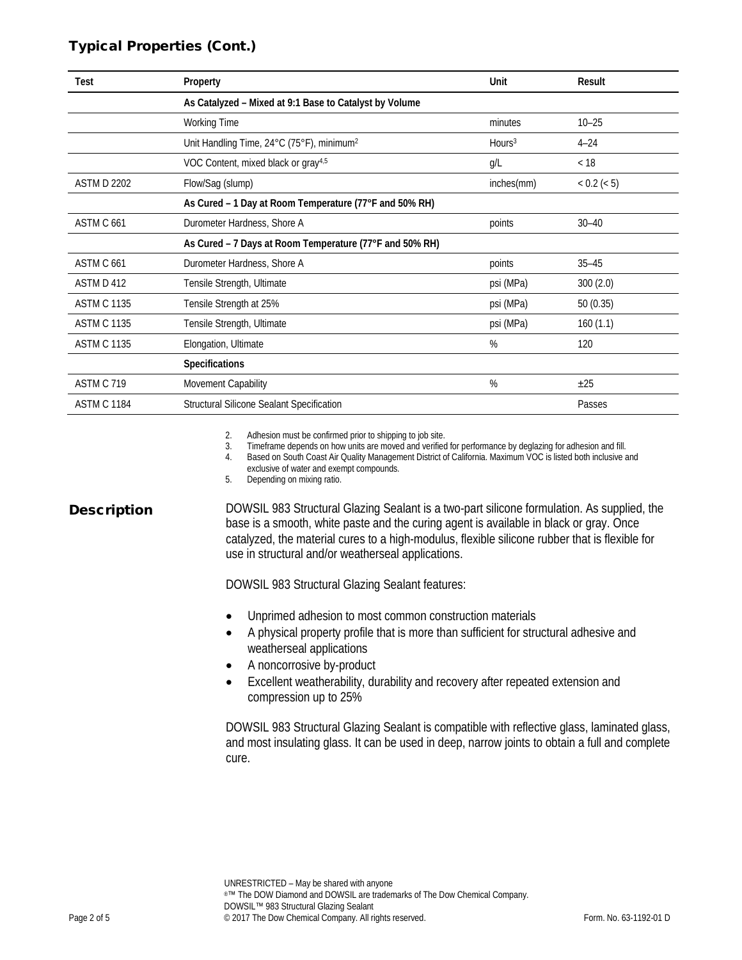## Typical Properties (Cont.)

| Test               | Property                                                | Unit               | Result      |
|--------------------|---------------------------------------------------------|--------------------|-------------|
|                    | As Catalyzed - Mixed at 9:1 Base to Catalyst by Volume  |                    |             |
|                    | <b>Working Time</b>                                     | minutes            | $10 - 25$   |
|                    | Unit Handling Time, 24°C (75°F), minimum <sup>2</sup>   | Hours <sup>3</sup> | $4 - 24$    |
|                    | VOC Content, mixed black or gray <sup>4,5</sup>         | g/L                | < 18        |
| <b>ASTM D 2202</b> | Flow/Sag (slump)                                        | inches(mm)         | < 0.2 (< 5) |
|                    | As Cured - 1 Day at Room Temperature (77°F and 50% RH)  |                    |             |
| ASTM C 661         | Durometer Hardness, Shore A                             | points             | $30 - 40$   |
|                    | As Cured - 7 Days at Room Temperature (77°F and 50% RH) |                    |             |
| ASTM C 661         | Durometer Hardness, Shore A                             | points             | $35 - 45$   |
| ASTM D 412         | Tensile Strength, Ultimate                              | psi (MPa)          | 300(2.0)    |
| <b>ASTM C 1135</b> | Tensile Strength at 25%                                 | psi (MPa)          | 50(0.35)    |
| <b>ASTM C 1135</b> | Tensile Strength, Ultimate                              | psi (MPa)          | 160(1.1)    |
| <b>ASTM C 1135</b> | Elongation, Ultimate                                    | %                  | 120         |
|                    | <b>Specifications</b>                                   |                    |             |
| ASTM C 719         | Movement Capability                                     | %                  | ±25         |
| <b>ASTM C 1184</b> | Structural Silicone Sealant Specification               |                    | Passes      |

2. Adhesion must be confirmed prior to shipping to job site.

3. Timeframe depends on how units are moved and verified for performance by deglazing for adhesion and fill.

4. Based on South Coast Air Quality Management District of California. Maximum VOC is listed both inclusive and

exclusive of water and exempt compounds.

5. Depending on mixing ratio.

**Description** DOWSIL 983 Structural Glazing Sealant is a two-part silicone formulation. As supplied, the base is a smooth, white paste and the curing agent is available in black or gray. Once catalyzed, the material cures to a high-modulus, flexible silicone rubber that is flexible for use in structural and/or weatherseal applications.

DOWSIL 983 Structural Glazing Sealant features:

- Unprimed adhesion to most common construction materials
- A physical property profile that is more than sufficient for structural adhesive and weatherseal applications
- A noncorrosive by-product
- Excellent weatherability, durability and recovery after repeated extension and compression up to 25%

DOWSIL 983 Structural Glazing Sealant is compatible with reflective glass, laminated glass, and most insulating glass. It can be used in deep, narrow joints to obtain a full and complete cure.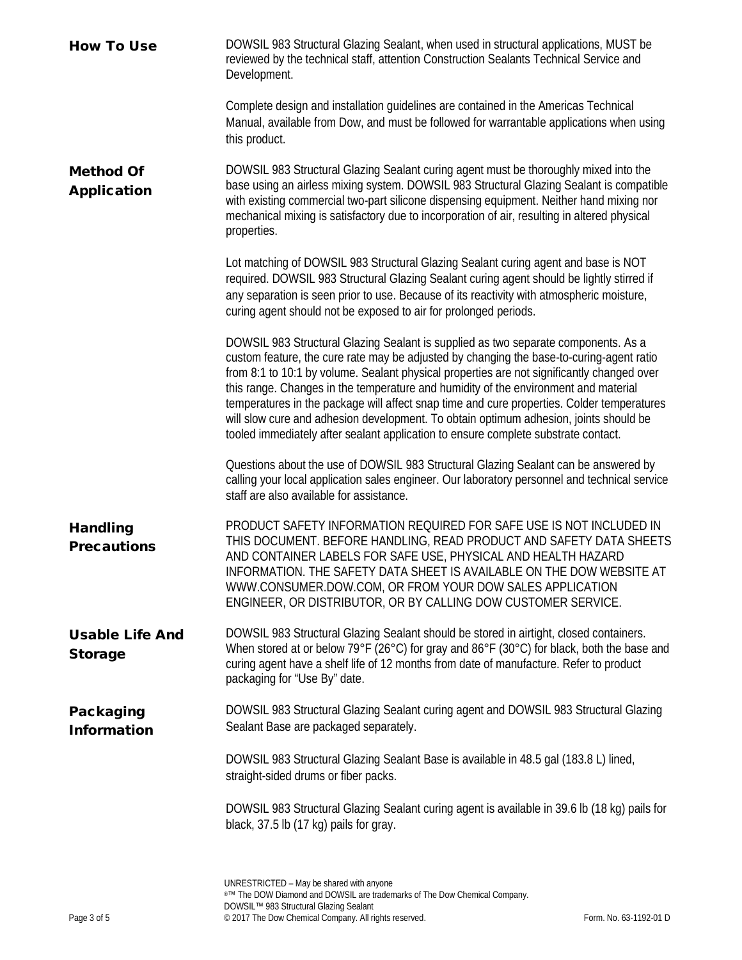| <b>How To Use</b>                        | DOWSIL 983 Structural Glazing Sealant, when used in structural applications, MUST be<br>reviewed by the technical staff, attention Construction Sealants Technical Service and<br>Development.                                                                                                                                                                                                                                                                                                                                                                                                                                                   |
|------------------------------------------|--------------------------------------------------------------------------------------------------------------------------------------------------------------------------------------------------------------------------------------------------------------------------------------------------------------------------------------------------------------------------------------------------------------------------------------------------------------------------------------------------------------------------------------------------------------------------------------------------------------------------------------------------|
|                                          | Complete design and installation guidelines are contained in the Americas Technical<br>Manual, available from Dow, and must be followed for warrantable applications when using<br>this product.                                                                                                                                                                                                                                                                                                                                                                                                                                                 |
| <b>Method Of</b><br><b>Application</b>   | DOWSIL 983 Structural Glazing Sealant curing agent must be thoroughly mixed into the<br>base using an airless mixing system. DOWSIL 983 Structural Glazing Sealant is compatible<br>with existing commercial two-part silicone dispensing equipment. Neither hand mixing nor<br>mechanical mixing is satisfactory due to incorporation of air, resulting in altered physical<br>properties.                                                                                                                                                                                                                                                      |
|                                          | Lot matching of DOWSIL 983 Structural Glazing Sealant curing agent and base is NOT<br>required. DOWSIL 983 Structural Glazing Sealant curing agent should be lightly stirred if<br>any separation is seen prior to use. Because of its reactivity with atmospheric moisture,<br>curing agent should not be exposed to air for prolonged periods.                                                                                                                                                                                                                                                                                                 |
|                                          | DOWSIL 983 Structural Glazing Sealant is supplied as two separate components. As a<br>custom feature, the cure rate may be adjusted by changing the base-to-curing-agent ratio<br>from 8:1 to 10:1 by volume. Sealant physical properties are not significantly changed over<br>this range. Changes in the temperature and humidity of the environment and material<br>temperatures in the package will affect snap time and cure properties. Colder temperatures<br>will slow cure and adhesion development. To obtain optimum adhesion, joints should be<br>tooled immediately after sealant application to ensure complete substrate contact. |
|                                          | Questions about the use of DOWSIL 983 Structural Glazing Sealant can be answered by<br>calling your local application sales engineer. Our laboratory personnel and technical service<br>staff are also available for assistance.                                                                                                                                                                                                                                                                                                                                                                                                                 |
| <b>Handling</b><br><b>Precautions</b>    | PRODUCT SAFETY INFORMATION REQUIRED FOR SAFE USE IS NOT INCLUDED IN<br>THIS DOCUMENT. BEFORE HANDLING, READ PRODUCT AND SAFETY DATA SHEETS<br>AND CONTAINER LABELS FOR SAFE USE, PHYSICAL AND HEALTH HAZARD<br>INFORMATION. THE SAFETY DATA SHEET IS AVAILABLE ON THE DOW WEBSITE AT<br>WWW.CONSUMER.DOW.COM, OR FROM YOUR DOW SALES APPLICATION<br>ENGINEER, OR DISTRIBUTOR, OR BY CALLING DOW CUSTOMER SERVICE.                                                                                                                                                                                                                                |
| <b>Usable Life And</b><br><b>Storage</b> | DOWSIL 983 Structural Glazing Sealant should be stored in airtight, closed containers.<br>When stored at or below 79°F (26°C) for gray and 86°F (30°C) for black, both the base and<br>curing agent have a shelf life of 12 months from date of manufacture. Refer to product<br>packaging for "Use By" date.                                                                                                                                                                                                                                                                                                                                    |
| Packaging<br><b>Information</b>          | DOWSIL 983 Structural Glazing Sealant curing agent and DOWSIL 983 Structural Glazing<br>Sealant Base are packaged separately.                                                                                                                                                                                                                                                                                                                                                                                                                                                                                                                    |
|                                          | DOWSIL 983 Structural Glazing Sealant Base is available in 48.5 gal (183.8 L) lined,<br>straight-sided drums or fiber packs.                                                                                                                                                                                                                                                                                                                                                                                                                                                                                                                     |
|                                          | DOWSIL 983 Structural Glazing Sealant curing agent is available in 39.6 lb (18 kg) pails for<br>black, 37.5 lb (17 kg) pails for gray.                                                                                                                                                                                                                                                                                                                                                                                                                                                                                                           |
|                                          |                                                                                                                                                                                                                                                                                                                                                                                                                                                                                                                                                                                                                                                  |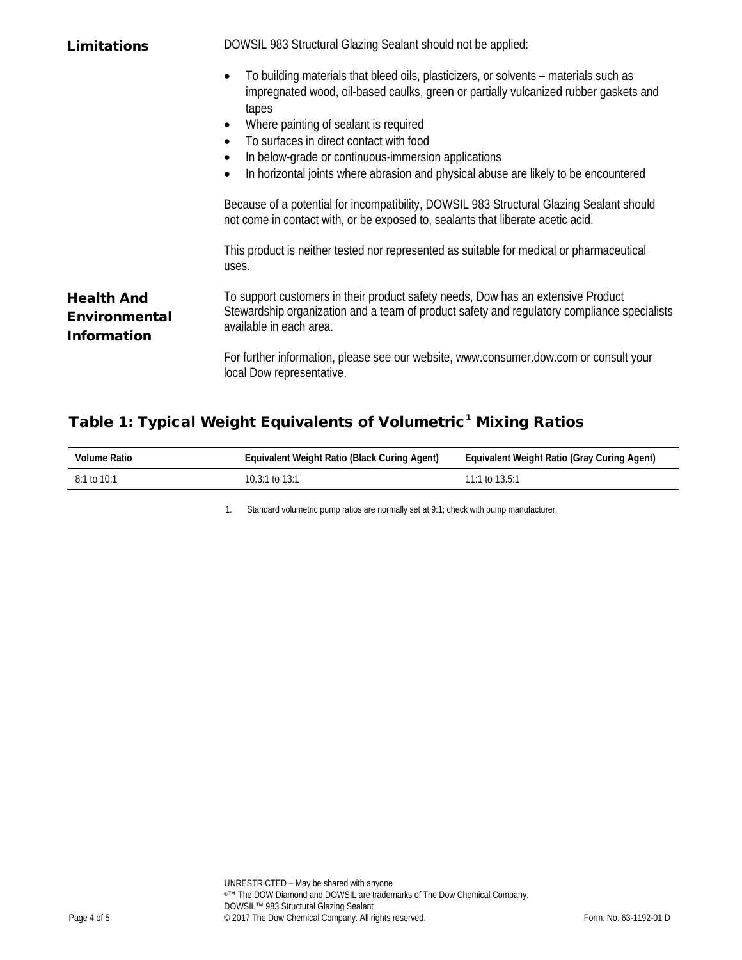| <b>Limitations</b>                                              | DOWSIL 983 Structural Glazing Sealant should not be applied:                                                                                                                                                                                                                                                                                                                                                            |  |
|-----------------------------------------------------------------|-------------------------------------------------------------------------------------------------------------------------------------------------------------------------------------------------------------------------------------------------------------------------------------------------------------------------------------------------------------------------------------------------------------------------|--|
|                                                                 | To building materials that bleed oils, plasticizers, or solvents - materials such as<br>impregnated wood, oil-based caulks, green or partially vulcanized rubber gaskets and<br>tapes<br>Where painting of sealant is required<br>To surfaces in direct contact with food<br>In below-grade or continuous-immersion applications<br>In horizontal joints where abrasion and physical abuse are likely to be encountered |  |
|                                                                 | Because of a potential for incompatibility, DOWSIL 983 Structural Glazing Sealant should<br>not come in contact with, or be exposed to, sealants that liberate acetic acid.                                                                                                                                                                                                                                             |  |
|                                                                 | This product is neither tested nor represented as suitable for medical or pharmaceutical<br>uses.                                                                                                                                                                                                                                                                                                                       |  |
| <b>Health And</b><br><b>Environmental</b><br><b>Information</b> | To support customers in their product safety needs, Dow has an extensive Product<br>Stewardship organization and a team of product safety and regulatory compliance specialists<br>available in each area.                                                                                                                                                                                                              |  |
|                                                                 | For further information, please see our website, www.consumer.dow.com or consult your<br>local Dow representative.                                                                                                                                                                                                                                                                                                      |  |

# Table 1: Typical Weight Equivalents of Volumetric<sup>1</sup> Mixing Ratios

| Volume Ratio  | Equivalent Weight Ratio (Black Curing Agent) | Equivalent Weight Ratio (Gray Curing Agent) |
|---------------|----------------------------------------------|---------------------------------------------|
| $8:1$ to 10:1 | 10.3:1 to 13:1                               | 11:1 to $13.5:1$                            |

1. Standard volumetric pump ratios are normally set at 9:1; check with pump manufacturer.